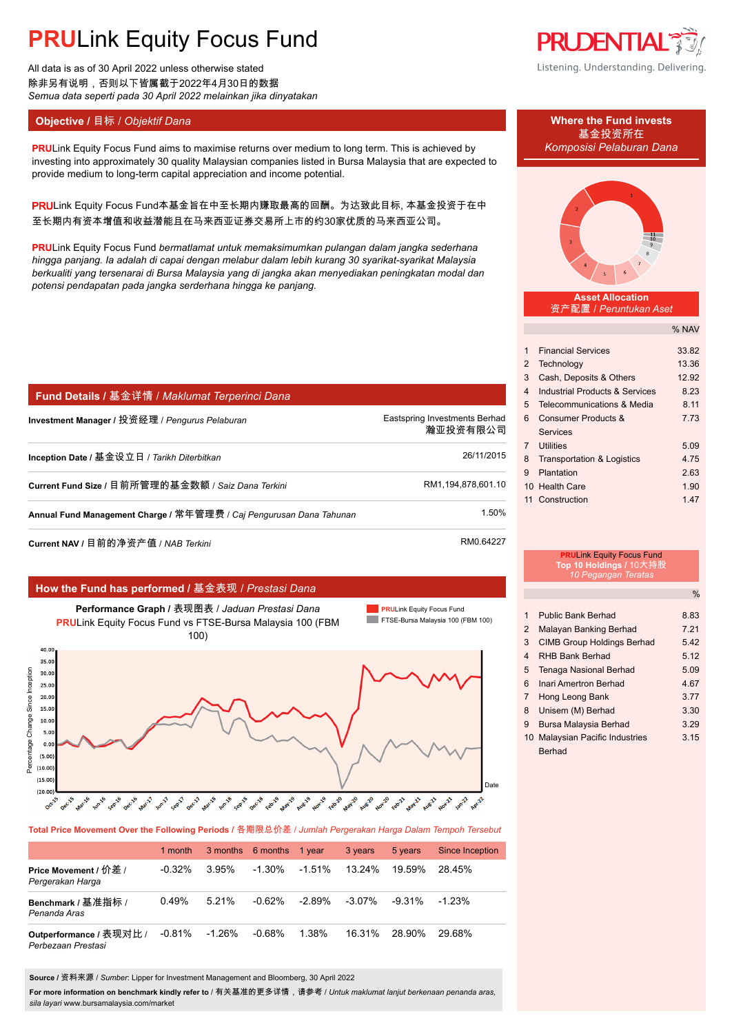# **PRU**Link Equity Focus Fund

All data is as of 30 April 2022 unless otherwise stated 除非另有说明,否则以下皆属截于2022年4月30日的数据 *Semua data seperti pada 30 April 2022 melainkan jika dinyatakan*

## **Objective /** 目标 / *Objektif Dana* **Where the Fund invests**

**PRULink Equity Focus Fund aims to maximise returns over medium to long term. This is achieved by** *Komposisi Pelaburan Dana* investing into approximately 30 quality Malaysian companies listed in Bursa Malaysia that are expected to provide medium to long-term capital appreciation and income potential.

PRULink Equity Focus Fund本基金旨在中至长期内赚取最高的回酬。为达致此目标, 本基金投资于在中 至长期内有资本增值和收益潜能且在马来西亚证券交易所上市的约30家优质的马来西亚公司。

**PRU**Link Equity Focus Fund *bermatlamat untuk memaksimumkan pulangan dalam jangka sederhana hingga panjang. Ia adalah di capai dengan melabur dalam lebih kurang 30 syarikat-syarikat Malaysia berkualiti yang tersenarai di Bursa Malaysia yang di jangka akan menyediakan peningkatan modal dan potensi pendapatan pada jangka serderhana hingga ke panjang.*

| Fund Details / 基金详情 / Maklumat Terperinci Dana                      |                                           |
|---------------------------------------------------------------------|-------------------------------------------|
| Investment Manager / 投资经理 / Pengurus Pelaburan                      | Eastspring Investments Berhad<br>瀚亚投资有限公司 |
| Inception Date / 基金设立日 / Tarikh Diterbitkan                         | 26/11/2015                                |
| Current Fund Size / 目前所管理的基金数额 / Saiz Dana Terkini                  | RM1,194,878,601.10                        |
| Annual Fund Management Charge / 常年管理费 / Caj Pengurusan Dana Tahunan | 1.50%                                     |
| Current NAV / 目前的净资产值 / NAB Terkini                                 | RM0.64227                                 |

### **How the Fund has performed /** 基金表现 / *Prestasi Dana*



**Total Price Movement Over the Following Periods /** 各期限总价差 / *Jumlah Pergerakan Harga Dalam Tempoh Tersebut*

|                                               | 1 month   |           | 3 months 6 months | 1 year   | 3 years   | 5 years   | <b>Since Inception</b> |
|-----------------------------------------------|-----------|-----------|-------------------|----------|-----------|-----------|------------------------|
| Price Movement / 价差 /<br>Pergerakan Harga     | $-0.32%$  | $3.95\%$  | $-1.30\%$         | -1.51%   | 13.24%    | 19.59%    | 28.45%                 |
| Benchmark / 基准指标 /<br>Penanda Aras            | 0.49%     | $5.21\%$  | $-0.62%$          | $-2.89%$ | $-3.07\%$ | $-9.31\%$ | $-1.23\%$              |
| Outperformance / 表现对比 /<br>Perbezaan Prestasi | $-0.81\%$ | $-1.26\%$ | $-0.68%$          | 1.38%    | 16.31%    | 28.90%    | 29.68%                 |

**Source /** 资料来源 / *Sumber*: Lipper for Investment Management and Bloomberg, 30 April 2022

**For more information on benchmark kindly refer to** / 有关基准的更多详情,请参考 / *Untuk maklumat lanjut berkenaan penanda aras, sila layari* www.bursamalaysia.com/market



Listening. Understanding. Delivering.

基金投资所在



#### **Asset Allocation** 资产配置 / *Peruntukan Aset*

% NAV

| 1  | <b>Financial Services</b>             | 33.82 |
|----|---------------------------------------|-------|
| 2  | Technology                            | 13.36 |
| 3  | Cash, Deposits & Others               | 12.92 |
| 4  | Industrial Products & Services        | 8.23  |
| 5  | Telecommunications & Media            | 8.11  |
| 6  | Consumer Products &                   | 7 73  |
|    | Services                              |       |
| 7  | <b>Utilities</b>                      | 5.09  |
| 8  | <b>Transportation &amp; Logistics</b> | 4 75  |
| 9  | Plantation                            | 2.63  |
|    | 10 Health Care                        | 1.90  |
| 11 | Construction                          | 1.47  |
|    |                                       |       |

# **PRU**Link Equity Focus Fund **Top 10 Holdings /** 10大持股 *10 Pegangan Teratas*

|   |                                   | %    |
|---|-----------------------------------|------|
|   |                                   |      |
| 1 | <b>Public Bank Berhad</b>         | 8.83 |
| 2 | Malayan Banking Berhad            | 7 21 |
| 3 | <b>CIMB Group Holdings Berhad</b> | 542  |
| 4 | <b>RHB Bank Berhad</b>            | 5.12 |
| 5 | <b>Tenaga Nasional Berhad</b>     | 5.09 |
| 6 | Inari Amertron Berhad             | 467  |
| 7 | Hong Leong Bank                   | 3.77 |
| 8 | Unisem (M) Berhad                 | 3.30 |
| 9 | Bursa Malaysia Berhad             | 3.29 |
|   | 10 Malaysian Pacific Industries   | 3.15 |
|   | <b>Berhad</b>                     |      |
|   |                                   |      |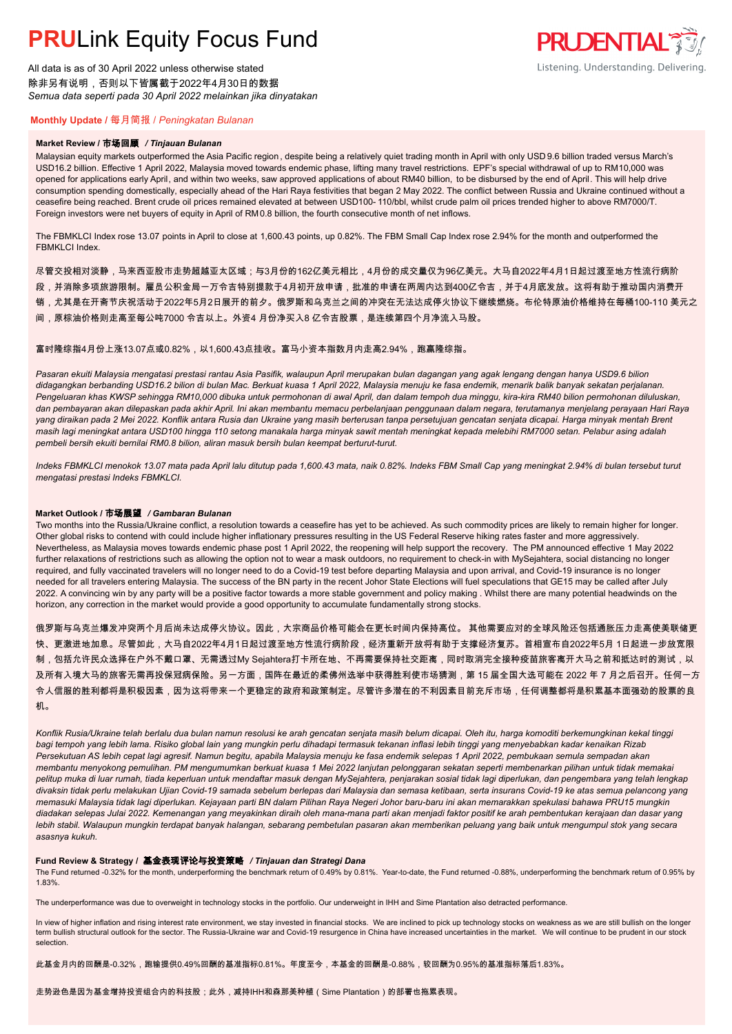# **PRU**Link Equity Focus Fund

All data is as of 30 April 2022 unless otherwise stated 除非另有说明,否则以下皆属截于2022年4月30日的数据 *Semua data seperti pada 30 April 2022 melainkan jika dinyatakan*

# **PRUDENTIAL** Listening. Understanding. Delivering.

### **Monthly Update /** 每月简报 / *Peningkatan Bulanan*

#### **Market Review /** 市场回顾 */ Tinjauan Bulanan*

Malaysian equity markets outperformed the Asia Pacific region , despite being a relatively quiet trading month in April with only USD 9.6 billion traded versus March's USD16.2 billion. Effective 1 April 2022, Malaysia moved towards endemic phase, lifting many travel restrictions. EPF's special withdrawal of up to RM10,000 was opened for applications early April, and within two weeks, saw approved applications of about RM40 billion, to be disbursed by the end of April. This will help drive consumption spending domestically, especially ahead of the Hari Raya festivities that began 2 May 2022. The conflict between Russia and Ukraine continued without a ceasefire being reached. Brent crude oil prices remained elevated at between USD100- 110/bbl, whilst crude palm oil prices trended higher to above RM7000/T. Foreign investors were net buyers of equity in April of RM0.8 billion, the fourth consecutive month of net inflows.

The FBMKLCI Index rose 13.07 points in April to close at 1,600.43 points, up 0.82%. The FBM Small Cap Index rose 2.94% for the month and outperformed the FBMKLCI Index.

尽管交投相对淡静,马来西亚股市走势超越亚太区域;与3月份的162亿美元相比,4月份的成交量仅为96亿美元。大马自2022年4月1日起过渡至地方性流行病阶 段,并消除多项旅游限制。雇员公积金局一万令吉特别提款于4月初开放申请,批准的申请在两周内达到400亿令吉,并于4月底发放。这将有助于推动国内消费开 销,尤其是在开斋节庆祝活动于2022年5月2日展开的前夕。俄罗斯和乌克兰之间的冲突在无法达成停火协议下继续燃烧。布伦特原油价格维持在每桶100-110 美元之 间,原棕油价格则走高至每公吨7000 令吉以上。外资4 月份净买入8 亿令吉股票,是连续第四个月净流入马股。

富时隆综指4月份上涨13.07点或0.82%,以1,600.43点挂收。富马小资本指数月内走高2.94%,跑赢隆综指。

*Pasaran ekuiti Malaysia mengatasi prestasi rantau Asia Pasifik, walaupun April merupakan bulan dagangan yang agak lengang dengan hanya USD9.6 bilion didagangkan berbanding USD16.2 bilion di bulan Mac. Berkuat kuasa 1 April 2022, Malaysia menuju ke fasa endemik, menarik balik banyak sekatan perjalanan. Pengeluaran khas KWSP sehingga RM10,000 dibuka untuk permohonan di awal April, dan dalam tempoh dua minggu, kira-kira RM40 bilion permohonan diluluskan, dan pembayaran akan dilepaskan pada akhir April. Ini akan membantu memacu perbelanjaan penggunaan dalam negara, terutamanya menjelang perayaan Hari Raya yang diraikan pada 2 Mei 2022. Konflik antara Rusia dan Ukraine yang masih berterusan tanpa persetujuan gencatan senjata dicapai. Harga minyak mentah Brent masih lagi meningkat antara USD100 hingga 110 setong manakala harga minyak sawit mentah meningkat kepada melebihi RM7000 setan. Pelabur asing adalah pembeli bersih ekuiti bernilai RM0.8 bilion, aliran masuk bersih bulan keempat berturut-turut.*

*Indeks FBMKLCI menokok 13.07 mata pada April lalu ditutup pada 1,600.43 mata, naik 0.82%. Indeks FBM Small Cap yang meningkat 2.94% di bulan tersebut turut mengatasi prestasi Indeks FBMKLCI.*

#### **Market Outlook /** 市场展望 */ Gambaran Bulanan*

Two months into the Russia/Ukraine conflict, a resolution towards a ceasefire has yet to be achieved. As such commodity prices are likely to remain higher for longer. Other global risks to contend with could include higher inflationary pressures resulting in the US Federal Reserve hiking rates faster and more aggressively. Nevertheless, as Malaysia moves towards endemic phase post 1 April 2022, the reopening will help support the recovery. The PM announced effective 1 May 2022 further relaxations of restrictions such as allowing the option not to wear a mask outdoors, no requirement to check-in with MySejahtera, social distancing no longer required, and fully vaccinated travelers will no longer need to do a Covid-19 test before departing Malaysia and upon arrival, and Covid-19 insurance is no longer needed for all travelers entering Malaysia. The success of the BN party in the recent Johor State Elections will fuel speculations that GE15 may be called after July 2022. A convincing win by any party will be a positive factor towards a more stable government and policy making . Whilst there are many potential headwinds on the horizon, any correction in the market would provide a good opportunity to accumulate fundamentally strong stocks.

俄罗斯与乌克兰爆发冲突两个月后尚未达成停火协议。因此,大宗商品价格可能会在更长时间内保持高位。 其他需要应对的全球风险还包括通胀压力走高使美联储更 快、更激进地加息。尽管如此,大马自2022年4月1日起过渡至地方性流行病阶段,经济重新开放将有助于支撑经济复苏。首相宣布自2022年5月 1日起进一步放宽限 制,包括允许民众选择在户外不戴口罩、无需透过My Sejahtera打卡所在地、不再需要保持社交距离,同时取消完全接种疫苗旅客离开大马之前和抵达时的测试,以 及所有入境大马的旅客无需再投保冠病保险。另一方面,国阵在最近的柔佛州选举中获得胜利使市场猜测,第 15 届全国大选可能在 2022 年 7 月之后召开。任何一方 令人信服的胜利都将是积极因素,因为这将带来一个更稳定的政府和政策制定。尽管许多潜在的不利因素目前充斥市场,任何调整都将是积累基本面强劲的股票的良 机。

*Konflik Rusia/Ukraine telah berlalu dua bulan namun resolusi ke arah gencatan senjata masih belum dicapai. Oleh itu, harga komoditi berkemungkinan kekal tinggi bagi tempoh yang lebih lama. Risiko global lain yang mungkin perlu dihadapi termasuk tekanan inflasi lebih tinggi yang menyebabkan kadar kenaikan Rizab Persekutuan AS lebih cepat lagi agresif. Namun begitu, apabila Malaysia menuju ke fasa endemik selepas 1 April 2022, pembukaan semula sempadan akan membantu menyokong pemulihan. PM mengumumkan berkuat kuasa 1 Mei 2022 lanjutan pelonggaran sekatan seperti membenarkan pilihan untuk tidak memakai pelitup muka di luar rumah, tiada keperluan untuk mendaftar masuk dengan MySejahtera, penjarakan sosial tidak lagi diperlukan, dan pengembara yang telah lengkap divaksin tidak perlu melakukan Ujian Covid-19 samada sebelum berlepas dari Malaysia dan semasa ketibaan, serta insurans Covid-19 ke atas semua pelancong yang memasuki Malaysia tidak lagi diperlukan. Kejayaan parti BN dalam Pilihan Raya Negeri Johor baru-baru ini akan memarakkan spekulasi bahawa PRU15 mungkin diadakan selepas Julai 2022. Kemenangan yang meyakinkan diraih oleh mana-mana parti akan menjadi faktor positif ke arah pembentukan kerajaan dan dasar yang lebih stabil. Walaupun mungkin terdapat banyak halangan, sebarang pembetulan pasaran akan memberikan peluang yang baik untuk mengumpul stok yang secara asasnya kukuh.*

### **Fund Review & Strategy /** 基金表现评论与投资策略 */ Tinjauan dan Strategi Dana*

The Fund returned -0.32% for the month, underperforming the benchmark return of 0.49% by 0.81%. Year-to-date, the Fund returned -0.88%, underperforming the benchmark return of 0.95% by 1.83%.

The underperformance was due to overweight in technology stocks in the portfolio. Our underweight in IHH and Sime Plantation also detracted performance.

In view of higher inflation and rising interest rate environment, we stay invested in financial stocks. We are inclined to pick up technology stocks on weakness as we are still bullish on the longer term bullish structural outlook for the sector. The Russia-Ukraine war and Covid-19 resurgence in China have increased uncertainties in the market. We will continue to be prudent in our stock selection.

此基金月内的回酬是-0.32%,跑输提供0.49%回酬的基准指标0.81%。年度至今,本基金的回酬是-0.88%,较回酬为0.95%的基准指标落后1.83%。

走势逊色是因为基金增持投资组合内的科技股;此外,减持IHH和森那美种植(Sime Plantation)的部署也拖累表现。